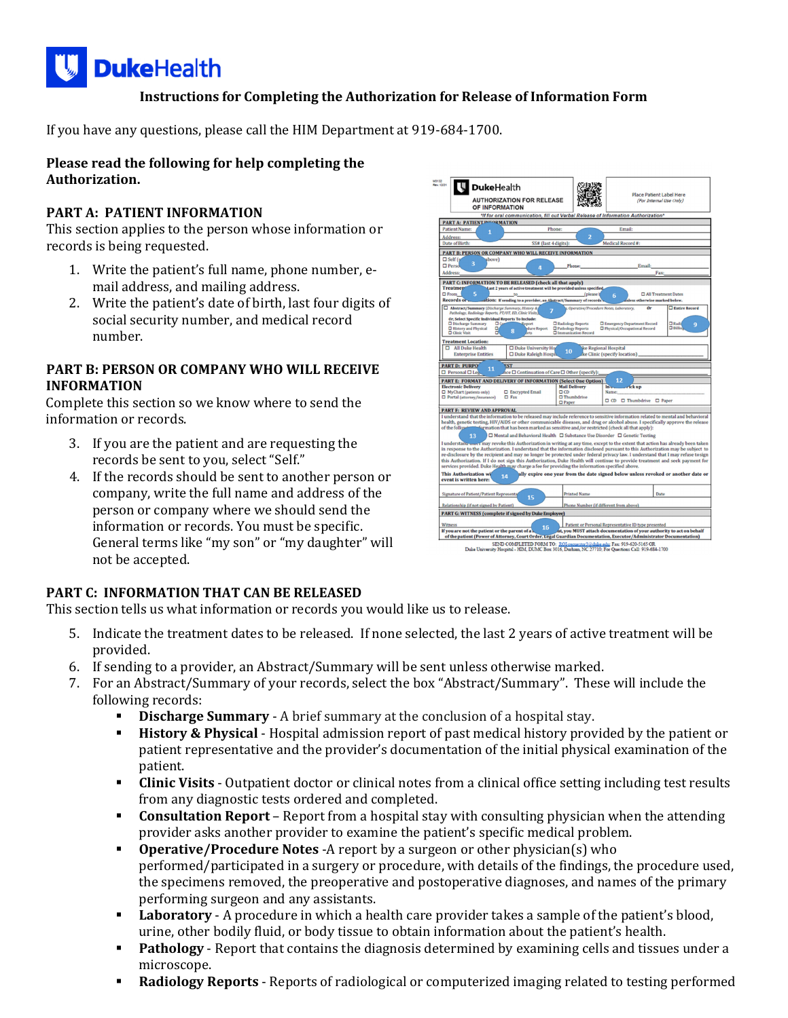

## **Instructions for Completing the Authorization for Release of Information Form**

If you have any questions, please call the HIM Department at 919-684-1700.

#### **Please read the following for help completing the Authorization.**

## **PART A: PATIENT INFORMATION**

This section applies to the person whose information or records is being requested.

- 1. Write the patient's full name, phone number, email address, and mailing address.
- 2. Write the patient's date of birth, last four digits of social security number, and medical record number.

### **PART B: PERSON OR COMPANY WHO WILL RECEIVE INFORMATION**

Complete this section so we know where to send the information or records.

- 3. If you are the patient and are requesting the records be sent to you, select "Self."
- 4. If the records should be sent to another person or company, write the full name and address of the person or company where we should send the information or records. You must be specific. General terms like "my son" or "my daughter" will not be accepted.

| 43132<br>ev. 12/21<br><b>DukeHealth</b><br><b>AUTHORIZATION FOR RELEASE</b><br>OF INFORMATION                                                                                                                                                                                                                                                                                                                                                                                                                                                                                                                                                                                                                                                                                                                                                                                                                                                                                                                                                                                                                                                                                                                                                                   |                                                                           |                                                                           | <b>Place Patient Label Here</b><br>(For Internal Use Only)    |                                                   |
|-----------------------------------------------------------------------------------------------------------------------------------------------------------------------------------------------------------------------------------------------------------------------------------------------------------------------------------------------------------------------------------------------------------------------------------------------------------------------------------------------------------------------------------------------------------------------------------------------------------------------------------------------------------------------------------------------------------------------------------------------------------------------------------------------------------------------------------------------------------------------------------------------------------------------------------------------------------------------------------------------------------------------------------------------------------------------------------------------------------------------------------------------------------------------------------------------------------------------------------------------------------------|---------------------------------------------------------------------------|---------------------------------------------------------------------------|---------------------------------------------------------------|---------------------------------------------------|
| *If for oral communication, fill out Verbal Release of Information Authorization*                                                                                                                                                                                                                                                                                                                                                                                                                                                                                                                                                                                                                                                                                                                                                                                                                                                                                                                                                                                                                                                                                                                                                                               |                                                                           |                                                                           |                                                               |                                                   |
| <b>PART A: PATIENTIMEORMATION</b>                                                                                                                                                                                                                                                                                                                                                                                                                                                                                                                                                                                                                                                                                                                                                                                                                                                                                                                                                                                                                                                                                                                                                                                                                               |                                                                           |                                                                           |                                                               |                                                   |
| <b>Patient Name:</b><br>1                                                                                                                                                                                                                                                                                                                                                                                                                                                                                                                                                                                                                                                                                                                                                                                                                                                                                                                                                                                                                                                                                                                                                                                                                                       | Phone:                                                                    |                                                                           | Email:                                                        |                                                   |
| <b>Address:</b>                                                                                                                                                                                                                                                                                                                                                                                                                                                                                                                                                                                                                                                                                                                                                                                                                                                                                                                                                                                                                                                                                                                                                                                                                                                 |                                                                           | $\overline{a}$                                                            |                                                               |                                                   |
| <b>Date of Birth:</b><br>SS# (last 4 digits):<br>Medical Record #:                                                                                                                                                                                                                                                                                                                                                                                                                                                                                                                                                                                                                                                                                                                                                                                                                                                                                                                                                                                                                                                                                                                                                                                              |                                                                           |                                                                           |                                                               |                                                   |
| <b>PART B: PERSON OR COMPANY WHO WILL RECEIVE INFORMATION</b>                                                                                                                                                                                                                                                                                                                                                                                                                                                                                                                                                                                                                                                                                                                                                                                                                                                                                                                                                                                                                                                                                                                                                                                                   |                                                                           |                                                                           |                                                               |                                                   |
| $\Box$ Self (s<br>above)                                                                                                                                                                                                                                                                                                                                                                                                                                                                                                                                                                                                                                                                                                                                                                                                                                                                                                                                                                                                                                                                                                                                                                                                                                        |                                                                           |                                                                           |                                                               |                                                   |
| 3<br>$\square$ Perso<br>Email:<br>Phone:                                                                                                                                                                                                                                                                                                                                                                                                                                                                                                                                                                                                                                                                                                                                                                                                                                                                                                                                                                                                                                                                                                                                                                                                                        |                                                                           |                                                                           |                                                               |                                                   |
| Δ<br><b>Address:</b>                                                                                                                                                                                                                                                                                                                                                                                                                                                                                                                                                                                                                                                                                                                                                                                                                                                                                                                                                                                                                                                                                                                                                                                                                                            |                                                                           |                                                                           | Fax:                                                          |                                                   |
|                                                                                                                                                                                                                                                                                                                                                                                                                                                                                                                                                                                                                                                                                                                                                                                                                                                                                                                                                                                                                                                                                                                                                                                                                                                                 |                                                                           |                                                                           |                                                               |                                                   |
| <b>PART C: INFORMATION TO BE RELEASED (check all that apply)</b><br><b>Treatmen</b><br>Last 2 years of active treatment will be provided unless specified,<br>$\square$ From<br>5<br>□ All Treatment Dates<br>(please)<br>6<br><b>Records or</b><br>ation: If sending to a provider, an Abstract/Summary of records<br>nless otherwise marked below.<br><b>Entire Record</b><br>Abstract/Summary (Discharge Summary, History &<br>Operative/Procedure Notes, Laboratory,<br>Or<br>7<br>Pathology, Radiology Reports, PT/OT, ED, Clinic Visits)                                                                                                                                                                                                                                                                                                                                                                                                                                                                                                                                                                                                                                                                                                                  |                                                                           |                                                                           |                                                               |                                                   |
| Or, Select Specific Individual Reports To Include:<br>OG<br>D Discharge Summary<br><b>O</b> History and Physical<br>α<br>8<br>a<br><b>Q</b> Clinic Visit                                                                                                                                                                                                                                                                                                                                                                                                                                                                                                                                                                                                                                                                                                                                                                                                                                                                                                                                                                                                                                                                                                        | leport<br>dure Report<br>ets                                              | □ Radiology Reports<br><b>O</b> Pathology Reports<br>Immunization Record  | Emergency Department Record<br>O Physical/Occupational Record | <b>D</b> Radii<br>$\mathbf{Q}$<br><b>O</b> Billin |
| <b>Treatment Location:</b>                                                                                                                                                                                                                                                                                                                                                                                                                                                                                                                                                                                                                                                                                                                                                                                                                                                                                                                                                                                                                                                                                                                                                                                                                                      |                                                                           |                                                                           |                                                               |                                                   |
| All Duke Health<br><b>Enterprise Entities</b>                                                                                                                                                                                                                                                                                                                                                                                                                                                                                                                                                                                                                                                                                                                                                                                                                                                                                                                                                                                                                                                                                                                                                                                                                   | □ Duke University Ho<br>□ Duke Raleigh Hospit                             | 10                                                                        | ke Regional Hospital<br>ke Clinic (specify location).         |                                                   |
| <b>PART D: PURPO</b><br>EST<br>11<br>$\Box$ Personal $\Box$ Le<br><b>PART E: FORMAT AND DELIVERY OF INFORMATION (Select One Option)</b><br><b>Electronic Delivery</b><br>□ MyChart (patients only)<br>$\Box$ Fax<br>D Portal (attorney/insurance)                                                                                                                                                                                                                                                                                                                                                                                                                                                                                                                                                                                                                                                                                                                                                                                                                                                                                                                                                                                                               | hce □ Continuation of Care □ Other (specify):<br><b>D</b> Encrypted Email | <b>Mail Delivery</b><br>$\Box$ CD<br>$\Box$ Thumbdrive<br>$\square$ Paper | 12<br>m.<br>$r$ ick up<br>Name:<br>C CD C Thumbdrive C Paper  |                                                   |
| <b>PART F: REVIEW AND APPROVAL</b>                                                                                                                                                                                                                                                                                                                                                                                                                                                                                                                                                                                                                                                                                                                                                                                                                                                                                                                                                                                                                                                                                                                                                                                                                              |                                                                           |                                                                           |                                                               |                                                   |
| I understand that the information to be released may include reference to sensitive information related to mental and behavioral<br>health, genetic testing, HIV/AIDS or other communicable diseases, and drug or alcohol abuse. I specifically approve the release<br>of the following formation that has been marked as sensitive and/or restricted (check all that apply):<br>□ Mental and Behavioral Health □ Substance Use Disorder □ Genetic Testing<br>13<br>I understand one I may revoke this Authorization in writing at any time, except to the extent that action has already been taken<br>in response to the Authorization. I understand that the information disclosed pursuant to this Authorization may be subject to<br>re-disclosure by the recipient and may no longer be protected under federal privacy law. I understand that I may refuse tosign<br>this Authorization. If I do not sign this Authorization, Duke Health will continue to provide treatment and seek payment for<br>services provided. Duke Health may charge a fee for providing the information specified above.<br><b>This Authorization wi</b><br>ally expire one year from the date signed below unless revoked or another date or<br>14<br>event is written here: |                                                                           |                                                                           |                                                               |                                                   |
| <b>Signature of Patient/Patient Representa</b><br>15                                                                                                                                                                                                                                                                                                                                                                                                                                                                                                                                                                                                                                                                                                                                                                                                                                                                                                                                                                                                                                                                                                                                                                                                            |                                                                           | <b>Printed Name</b>                                                       |                                                               | Date                                              |
|                                                                                                                                                                                                                                                                                                                                                                                                                                                                                                                                                                                                                                                                                                                                                                                                                                                                                                                                                                                                                                                                                                                                                                                                                                                                 |                                                                           |                                                                           |                                                               |                                                   |
| Phone Number (if different from above)<br>Relationship (if not signed by Patient)                                                                                                                                                                                                                                                                                                                                                                                                                                                                                                                                                                                                                                                                                                                                                                                                                                                                                                                                                                                                                                                                                                                                                                               |                                                                           |                                                                           |                                                               |                                                   |
| <b>PART G: WITNESS (complete if signed by Duke Employee)</b>                                                                                                                                                                                                                                                                                                                                                                                                                                                                                                                                                                                                                                                                                                                                                                                                                                                                                                                                                                                                                                                                                                                                                                                                    |                                                                           |                                                                           |                                                               |                                                   |
| Patient or Personal Representative ID type presented<br>Witness<br>16<br>nt, you MUST attach documentation of your authority to act on behalf<br>If you are not the patient or the parent of a<br>of the patient (Power of Attorney, Court Order, Legal Guardian Documentation, Executor/Administrator Documentation)                                                                                                                                                                                                                                                                                                                                                                                                                                                                                                                                                                                                                                                                                                                                                                                                                                                                                                                                           |                                                                           |                                                                           |                                                               |                                                   |
| SEND COMPLETED FORM TO: ROI-requestor3@duke.edu; Fax: 919-620-5165 OR                                                                                                                                                                                                                                                                                                                                                                                                                                                                                                                                                                                                                                                                                                                                                                                                                                                                                                                                                                                                                                                                                                                                                                                           |                                                                           |                                                                           |                                                               |                                                   |

## **PART C: INFORMATION THAT CAN BE RELEASED**

This section tells us what information or records you would like us to release.

- 5. Indicate the treatment dates to be released. If none selected, the last 2 years of active treatment will be provided.
- 6. If sending to a provider, an Abstract/Summary will be sent unless otherwise marked.
- 7. For an Abstract/Summary of your records, select the box "Abstract/Summary". These will include the following records:
	- **Discharge Summary** A brief summary at the conclusion of a hospital stay.
	- **History & Physical** Hospital admission report of past medical history provided by the patient or patient representative and the provider's documentation of the initial physical examination of the patient.
	- **Clinic Visits** Outpatient doctor or clinical notes from a clinical office setting including test results from any diagnostic tests ordered and completed.
	- **Consultation Report** Report from a hospital stay with consulting physician when the attending provider asks another provider to examine the patient's specific medical problem.
	- **Operative/Procedure Notes** -A report by a surgeon or other physician(s) who performed/participated in a surgery or procedure, with details of the findings, the procedure used, the specimens removed, the preoperative and postoperative diagnoses, and names of the primary performing surgeon and any assistants.
	- **Laboratory** A procedure in which a health care provider takes a sample of the patient's blood, urine, other bodily fluid, or body tissue to obtain information about the patient's health.
	- **Pathology** Report that contains the diagnosis determined by examining cells and tissues under a microscope.
	- **Radiology Reports** Reports of radiological or computerized imaging related to testing performed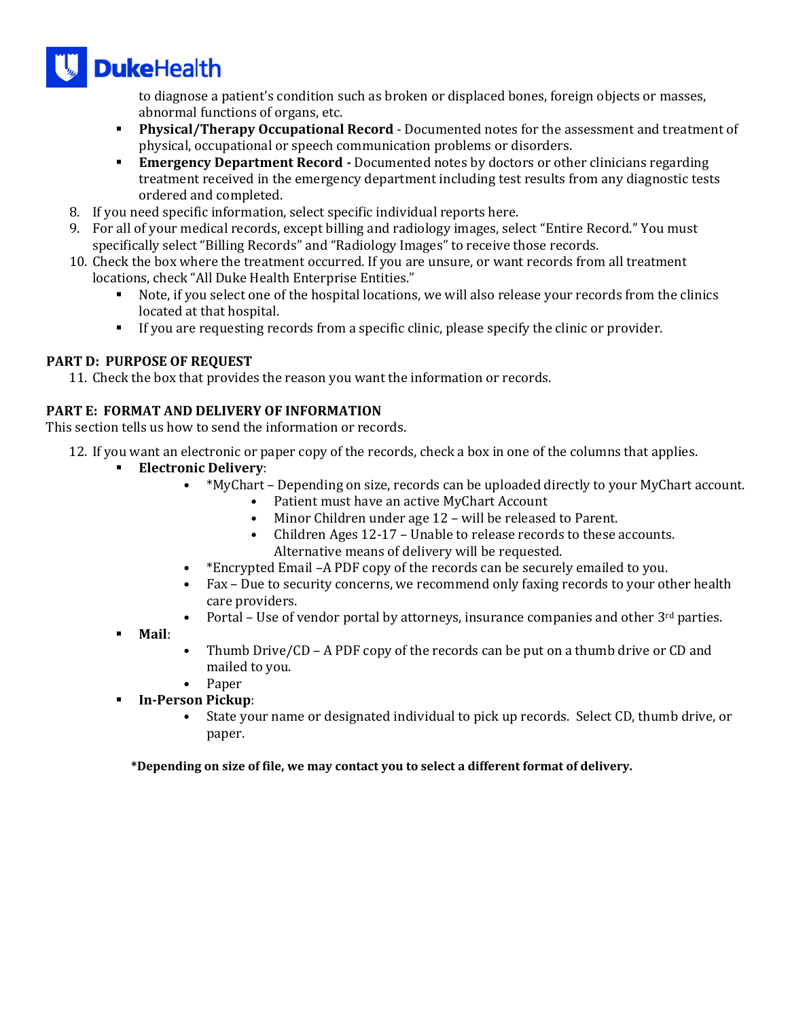

to diagnose a patient's condition such as broken or displaced bones, foreign objects or masses, abnormal functions of organs, etc.

- **Physical/Therapy Occupational Record** Documented notes for the assessment and treatment of physical, occupational or speech communication problems or disorders.
- **Emergency Department Record** Documented notes by doctors or other clinicians regarding treatment received in the emergency department including test results from any diagnostic tests ordered and completed.
- 8. If you need specific information, select specific individual reports here.
- 9. For all of your medical records, except billing and radiology images, select "Entire Record." You must specifically select "Billing Records" and "Radiology Images" to receive those records.
- 10. Check the box where the treatment occurred. If you are unsure, or want records from all treatment locations, check "All Duke Health Enterprise Entities."
	- Note, if you select one of the hospital locations, we will also release your records from the clinics located at that hospital.
	- If you are requesting records from a specific clinic, please specify the clinic or provider.

# **PART D: PURPOSE OF REQUEST**

11. Check the box that provides the reason you want the information or records.

## **PART E: FORMAT AND DELIVERY OF INFORMATION**

This section tells us how to send the information or records.

- 12. If you want an electronic or paper copy of the records, check a box in one of the columns that applies.
	- **Electronic Delivery**:
		- \*MyChart Depending on size, records can be uploaded directly to your MyChart account.
			- Patient must have an active MyChart Account
			- Minor Children under age 12 will be released to Parent.
			- Children Ages 12-17 Unable to release records to these accounts. Alternative means of delivery will be requested.
			- \*Encrypted Email –A PDF copy of the records can be securely emailed to you.
		- Fax Due to security concerns, we recommend only faxing records to your other health care providers.
		- Portal Use of vendor portal by attorneys, insurance companies and other  $3<sup>rd</sup>$  parties.
	- **Mail**:
- Thumb Drive/CD A PDF copy of the records can be put on a thumb drive or CD and mailed to you.
- Paper
- **In‐Person Pickup**:
	- State your name or designated individual to pick up records. Select CD, thumb drive, or paper.

\*Depending on size of file, we may contact you to select a different format of delivery.